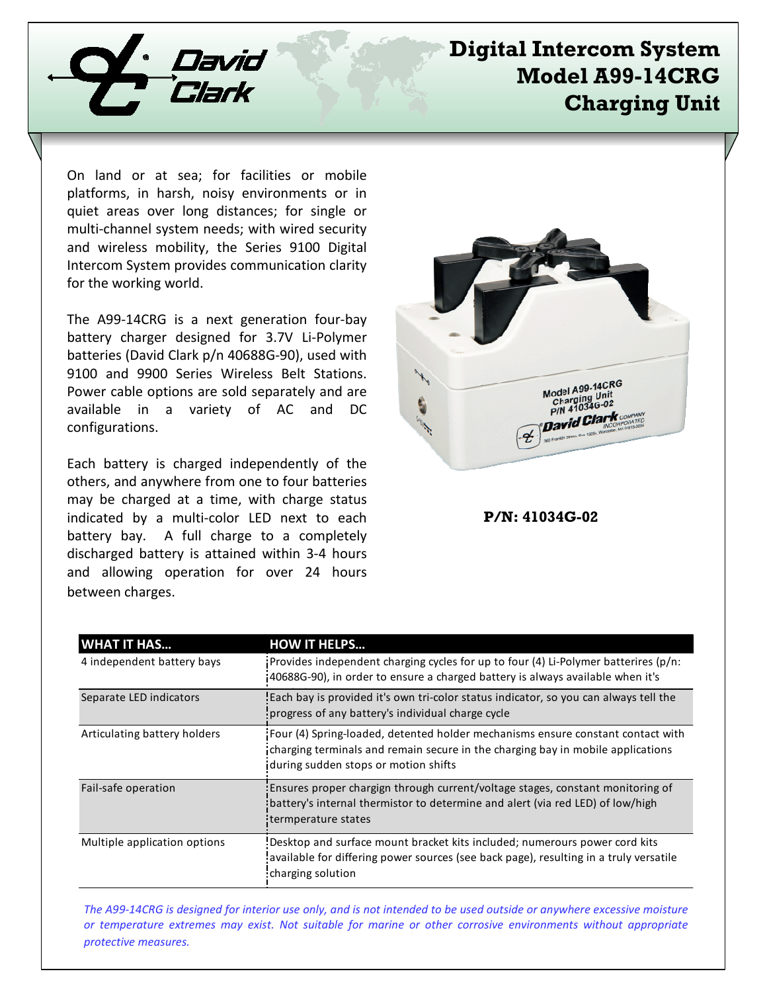

## **Digital Intercom System Model A99-14CRG Charging Unit**

On land or at sea; for facilities or mobile platforms, in harsh, noisy environments or in quiet areas over long distances; for single or multi-channel system needs; with wired security and wireless mobility, the Series 9100 Digital Intercom System provides communication clarity for the working world.

The A99-14CRG is a next generation four-bay battery charger designed for 3.7V Li-Polymer batteries (David Clark p/n 40688G-90), used with 9100 and 9900 Series Wireless Belt Stations. Power cable options are sold separately and are available in a variety of AC and DC configurations.

Each battery is charged independently of the others, and anywhere from one to four batteries may be charged at a time, with charge status indicated by a multi-color LED next to each battery bay. A full charge to a completely discharged battery is attained within 3-4 hours and allowing operation for over 24 hours between charges.



**P/N: 41034G-02**

| <b>WHAT IT HAS</b>           | <b>HOW IT HELPS</b>                                                                                                                                                                                        |
|------------------------------|------------------------------------------------------------------------------------------------------------------------------------------------------------------------------------------------------------|
| 4 independent battery bays   | Provides independent charging cycles for up to four (4) Li-Polymer batterires $(p/n)$ :<br>40688G-90), in order to ensure a charged battery is always available when it's                                  |
| Separate LED indicators      | Each bay is provided it's own tri-color status indicator, so you can always tell the<br>progress of any battery's individual charge cycle                                                                  |
| Articulating battery holders | Four (4) Spring-loaded, detented holder mechanisms ensure constant contact with<br>charging terminals and remain secure in the charging bay in mobile applications<br>during sudden stops or motion shifts |
| Fail-safe operation          | Ensures proper chargign through current/voltage stages, constant monitoring of<br>battery's internal thermistor to determine and alert (via red LED) of low/high<br>termperature states                    |
| Multiple application options | Desktop and surface mount bracket kits included; numerours power cord kits<br>available for differing power sources (see back page), resulting in a truly versatile<br>charging solution                   |

*The A9914CRG is designed for interior use only, and is not intended to be used outside or anywhere excessive moisture or temperature extremes may exist. Not suitable for marine or other corrosive environments without appropriate protective measures.*